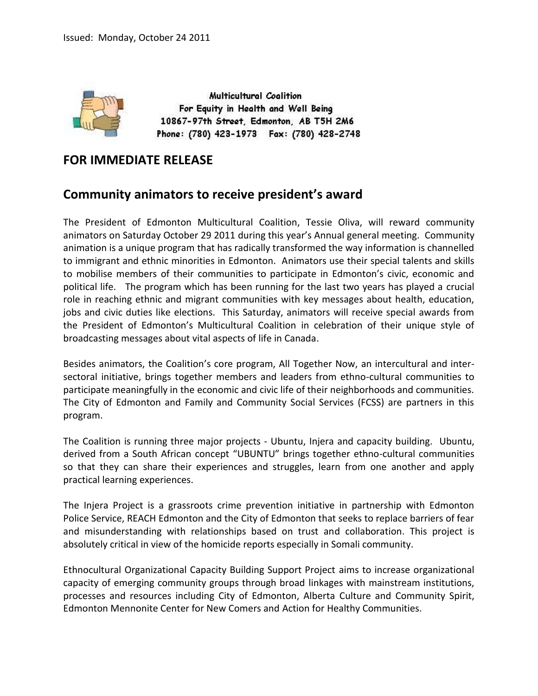

Multicultural Coalition For Equity in Health and Well Being 10867-97th Street, Edmonton, AB T5H 2M6 Phone: (780) 423-1973 Fax: (780) 428-2748

## **FOR IMMEDIATE RELEASE**

## **Community animators to receive president's award**

The President of Edmonton Multicultural Coalition, Tessie Oliva, will reward community animators on Saturday October 29 2011 during this year's Annual general meeting. Community animation is a unique program that has radically transformed the way information is channelled to immigrant and ethnic minorities in Edmonton. Animators use their special talents and skills to mobilise members of their communities to participate in Edmonton's civic, economic and political life. The program which has been running for the last two years has played a crucial role in reaching ethnic and migrant communities with key messages about health, education, jobs and civic duties like elections. This Saturday, animators will receive special awards from the President of Edmonton's Multicultural Coalition in celebration of their unique style of broadcasting messages about vital aspects of life in Canada.

Besides animators, the Coalition's core program, All Together Now, an intercultural and intersectoral initiative, brings together members and leaders from ethno-cultural communities to participate meaningfully in the economic and civic life of their neighborhoods and communities. The City of Edmonton and Family and Community Social Services (FCSS) are partners in this program.

The Coalition is running three major projects - Ubuntu, Injera and capacity building. Ubuntu, derived from a South African concept "UBUNTU" brings together ethno-cultural communities so that they can share their experiences and struggles, learn from one another and apply practical learning experiences.

The Injera Project is a grassroots crime prevention initiative in partnership with Edmonton Police Service, REACH Edmonton and the City of Edmonton that seeks to replace barriers of fear and misunderstanding with relationships based on trust and collaboration. This project is absolutely critical in view of the homicide reports especially in Somali community.

Ethnocultural Organizational Capacity Building Support Project aims to increase organizational capacity of emerging community groups through broad linkages with mainstream institutions, processes and resources including City of Edmonton, Alberta Culture and Community Spirit, Edmonton Mennonite Center for New Comers and Action for Healthy Communities.